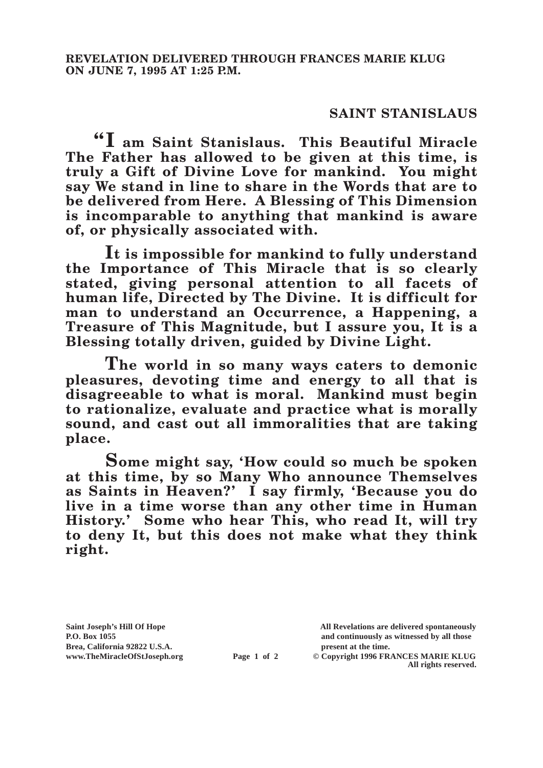## **SAINT STANISLAUS**

**"I am Saint Stanislaus. This Beautiful Miracle The Father has allowed to be given at this time, is truly a Gift of Divine Love for mankind. You might say We stand in line to share in the Words that are to be delivered from Here. A Blessing of This Dimension is incomparable to anything that mankind is aware of, or physically associated with.**

**It is impossible for mankind to fully understand the Importance of This Miracle that is so clearly stated, giving personal attention to all facets of human life, Directed by The Divine. It is difficult for man to understand an Occurrence, a Happening, a Treasure of This Magnitude, but I assure you, It is a Blessing totally driven, guided by Divine Light.**

**The world in so many ways caters to demonic pleasures, devoting time and energy to all that is disagreeable to what is moral. Mankind must begin to rationalize, evaluate and practice what is morally sound, and cast out all immoralities that are taking place.**

**Some might say, 'How could so much be spoken at this time, by so Many Who announce Themselves as Saints in Heaven?' I say firmly, 'Because you do live in a time worse than any other time in Human History.' Some who hear This, who read It, will try to deny It, but this does not make what they think right.**

**Saint Joseph's Hill Of Hope All Revelations are delivered spontaneously P.O. Box 1055 and continuously as witnessed by all those** 

**Page 1 of 2** © Copyright 1996 FRANCES MARIE KLUG **All rights reserved.**